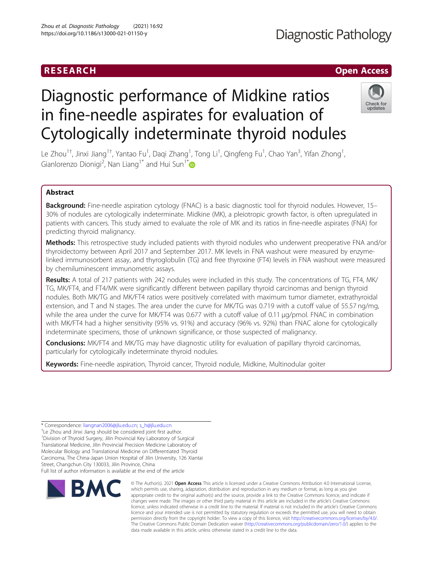# **Diagnostic Pathology**

# RESEARCH **RESEARCH CHOOSE ACCESS**

# Diagnostic performance of Midkine ratios in fine-needle aspirates for evaluation of Cytologically indeterminate thyroid nodules



Le Zhou<sup>1†</sup>, Jinxi Jiang<sup>1†</sup>, Yantao Fu<sup>1</sup>, Daqi Zhang<sup>1</sup>, Tong Li<sup>1</sup>, Qingfeng Fu<sup>1</sup>, Chao Yan<sup>3</sup>, Yifan Zhong<sup>1</sup> , Gianlorenzo Dionigi<sup>2</sup>, Nan Liang<sup>1\*</sup> and Hui Sun<sup>1\*</sup>

# Abstract

Background: Fine-needle aspiration cytology (FNAC) is a basic diagnostic tool for thyroid nodules. However, 15-30% of nodules are cytologically indeterminate. Midkine (MK), a pleiotropic growth factor, is often upregulated in patients with cancers. This study aimed to evaluate the role of MK and its ratios in fine-needle aspirates (FNA) for predicting thyroid malignancy.

Methods: This retrospective study included patients with thyroid nodules who underwent preoperative FNA and/or thyroidectomy between April 2017 and September 2017. MK levels in FNA washout were measured by enzymelinked immunosorbent assay, and thyroglobulin (TG) and free thyroxine (FT4) levels in FNA washout were measured by chemiluminescent immunometric assays.

Results: A total of 217 patients with 242 nodules were included in this study. The concentrations of TG, FT4, MK/ TG, MK/FT4, and FT4/MK were significantly different between papillary thyroid carcinomas and benign thyroid nodules. Both MK/TG and MK/FT4 ratios were positively correlated with maximum tumor diameter, extrathyroidal extension, and T and N stages. The area under the curve for MK/TG was 0.719 with a cutoff value of 55.57 ng/mg, while the area under the curve for MK/FT4 was 0.677 with a cutoff value of 0.11 µg/pmol. FNAC in combination with MK/FT4 had a higher sensitivity (95% vs. 91%) and accuracy (96% vs. 92%) than FNAC alone for cytologically indeterminate specimens, those of unknown significance, or those suspected of malignancy.

**Conclusions:** MK/FT4 and MK/TG may have diagnostic utility for evaluation of papillary thyroid carcinomas, particularly for cytologically indeterminate thyroid nodules.

Keywords: Fine-needle aspiration, Thyroid cancer, Thyroid nodule, Midkine, Multinodular goiter

\* Correspondence: [liangnan2006@jlu.edu.cn;](mailto:liangnan2006@jlu.edu.cn) [s\\_h@jlu.edu.cn](mailto:s_h@jlu.edu.cn) †

<sup>+</sup>Le Zhou and Jinxi Jiang should be considered joint first author. <sup>1</sup> Division of Thyroid Surgery, Jilin Provincial Key Laboratory of Surgical Translational Medicine, Jilin Provincial Precision Medicine Laboratory of Molecular Biology and Translational Medicine on Differentiated Thyroid Carcinoma, The China-Japan Union Hospital of Jilin University, 126 Xiantai Street, Changchun City 130033, Jilin Province, China Full list of author information is available at the end of the article

**RMC** 

© The Author(s), 2021 **Open Access** This article is licensed under a Creative Commons Attribution 4.0 International License, which permits use, sharing, adaptation, distribution and reproduction in any medium or format, as long as you give appropriate credit to the original author(s) and the source, provide a link to the Creative Commons licence, and indicate if changes were made. The images or other third party material in this article are included in the article's Creative Commons licence, unless indicated otherwise in a credit line to the material. If material is not included in the article's Creative Commons licence and your intended use is not permitted by statutory regulation or exceeds the permitted use, you will need to obtain permission directly from the copyright holder. To view a copy of this licence, visit [http://creativecommons.org/licenses/by/4.0/.](http://creativecommons.org/licenses/by/4.0/) The Creative Commons Public Domain Dedication waiver [\(http://creativecommons.org/publicdomain/zero/1.0/](http://creativecommons.org/publicdomain/zero/1.0/)) applies to the data made available in this article, unless otherwise stated in a credit line to the data.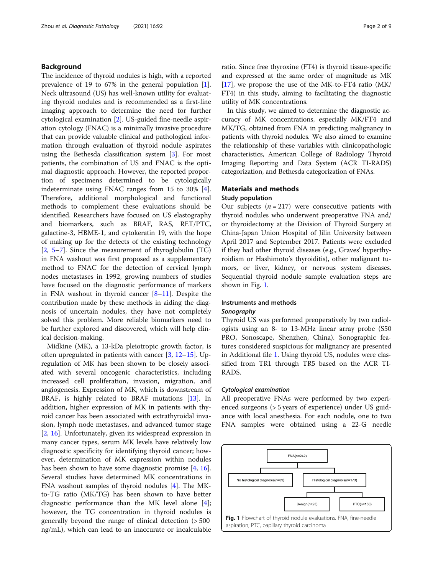# Background

The incidence of thyroid nodules is high, with a reported prevalence of 19 to 67% in the general population [\[1](#page-7-0)]. Neck ultrasound (US) has well-known utility for evaluating thyroid nodules and is recommended as a first-line imaging approach to determine the need for further cytological examination [[2\]](#page-7-0). US-guided fine-needle aspiration cytology (FNAC) is a minimally invasive procedure that can provide valuable clinical and pathological information through evaluation of thyroid nodule aspirates using the Bethesda classification system [[3\]](#page-7-0). For most patients, the combination of US and FNAC is the optimal diagnostic approach. However, the reported proportion of specimens determined to be cytologically indeterminate using FNAC ranges from 15 to 30% [\[4](#page-7-0)]. Therefore, additional morphological and functional methods to complement these evaluations should be identified. Researchers have focused on US elastography and biomarkers, such as BRAF, RAS, RET/PTC, galactine-3, HBME-1, and cytokeratin 19, with the hope of making up for the defects of the existing technology [[2,](#page-7-0) [5](#page-7-0)–[7\]](#page-7-0). Since the measurement of thyroglobulin (TG) in FNA washout was first proposed as a supplementary method to FNAC for the detection of cervical lymph nodes metastases in 1992, growing numbers of studies have focused on the diagnostic performance of markers in FNA washout in thyroid cancer [\[8](#page-7-0)–[11\]](#page-7-0). Despite the contribution made by these methods in aiding the diagnosis of uncertain nodules, they have not completely solved this problem. More reliable biomarkers need to be further explored and discovered, which will help clinical decision-making.

Midkine (MK), a 13-kDa pleiotropic growth factor, is often upregulated in patients with cancer  $[3, 12-15]$  $[3, 12-15]$  $[3, 12-15]$  $[3, 12-15]$  $[3, 12-15]$  $[3, 12-15]$  $[3, 12-15]$ . Upregulation of MK has been shown to be closely associated with several oncogenic characteristics, including increased cell proliferation, invasion, migration, and angiogenesis. Expression of MK, which is downstream of BRAF, is highly related to BRAF mutations [[13](#page-8-0)]. In addition, higher expression of MK in patients with thyroid cancer has been associated with extrathyroidal invasion, lymph node metastases, and advanced tumor stage [[2,](#page-7-0) [16\]](#page-8-0). Unfortunately, given its widespread expression in many cancer types, serum MK levels have relatively low diagnostic specificity for identifying thyroid cancer; however, determination of MK expression within nodules has been shown to have some diagnostic promise [\[4](#page-7-0), [16](#page-8-0)]. Several studies have determined MK concentrations in FNA washout samples of thyroid nodules [\[4](#page-7-0)]. The MKto-TG ratio (MK/TG) has been shown to have better diagnostic performance than the MK level alone [\[4](#page-7-0)]; however, the TG concentration in thyroid nodules is generally beyond the range of clinical detection (> 500 ng/mL), which can lead to an inaccurate or incalculable

ratio. Since free thyroxine (FT4) is thyroid tissue-specific and expressed at the same order of magnitude as MK [[17\]](#page-8-0), we propose the use of the MK-to-FT4 ratio (MK/ FT4) in this study, aiming to facilitating the diagnostic utility of MK concentrations.

In this study, we aimed to determine the diagnostic accuracy of MK concentrations, especially MK/FT4 and MK/TG, obtained from FNA in predicting malignancy in patients with thyroid nodules. We also aimed to examine the relationship of these variables with clinicopathologic characteristics, American College of Radiology Thyroid Imaging Reporting and Data System (ACR TI-RADS) categorization, and Bethesda categorization of FNAs.

# Materials and methods

# Study population

Our subjects  $(n = 217)$  were consecutive patients with thyroid nodules who underwent preoperative FNA and/ or thyroidectomy at the Division of Thyroid Surgery at China-Japan Union Hospital of Jilin University between April 2017 and September 2017. Patients were excluded if they had other thyroid diseases (e.g., Graves' hyperthyroidism or Hashimoto's thyroiditis), other malignant tumors, or liver, kidney, or nervous system diseases. Sequential thyroid nodule sample evaluation steps are shown in Fig. 1.

# Instruments and methods Sonography

Thyroid US was performed preoperatively by two radiologists using an 8- to 13-MHz linear array probe (S50 PRO, Sonoscape, Shenzhen, China). Sonographic features considered suspicious for malignancy are presented in Additional file [1.](#page-7-0) Using thyroid US, nodules were classified from TR1 through TR5 based on the ACR TI-RADS.

# Cytological examination

All preoperative FNAs were performed by two experienced surgeons (> 5 years of experience) under US guidance with local anesthesia. For each nodule, one to two FNA samples were obtained using a 22-G needle

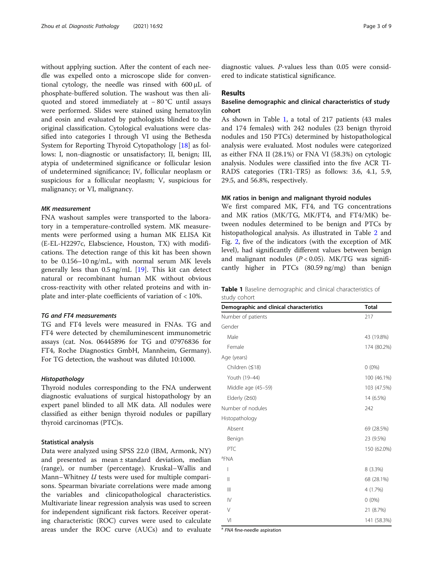without applying suction. After the content of each needle was expelled onto a microscope slide for conventional cytology, the needle was rinsed with 600 μL of phosphate-buffered solution. The washout was then aliquoted and stored immediately at − 80 °C until assays were performed. Slides were stained using hematoxylin and eosin and evaluated by pathologists blinded to the original classification. Cytological evaluations were classified into categories I through VI using the Bethesda System for Reporting Thyroid Cytopathology [[18\]](#page-8-0) as follows: I, non-diagnostic or unsatisfactory; II, benign; III, atypia of undetermined significance or follicular lesion of undetermined significance; IV, follicular neoplasm or suspicious for a follicular neoplasm; V, suspicious for malignancy; or VI, malignancy.

# MK measurement

FNA washout samples were transported to the laboratory in a temperature-controlled system. MK measurements were performed using a human MK ELISA Kit (E-EL-H2297c, Elabscience, Houston, TX) with modifications. The detection range of this kit has been shown to be 0.156–10 ng/mL, with normal serum MK levels generally less than 0.5 ng/mL [\[19\]](#page-8-0). This kit can detect natural or recombinant human MK without obvious cross-reactivity with other related proteins and with inplate and inter-plate coefficients of variation of < 10%.

# TG and FT4 measurements

TG and FT4 levels were measured in FNAs. TG and FT4 were detected by chemiluminescent immunometric assays (cat. Nos. 06445896 for TG and 07976836 for FT4, Roche Diagnostics GmbH, Mannheim, Germany). For TG detection, the washout was diluted 10:1000.

#### Histopathology

Thyroid nodules corresponding to the FNA underwent diagnostic evaluations of surgical histopathology by an expert panel blinded to all MK data. All nodules were classified as either benign thyroid nodules or papillary thyroid carcinomas (PTC)s.

## Statistical analysis

Data were analyzed using SPSS 22.0 (IBM, Armonk, NY) and presented as mean ± standard deviation, median (range), or number (percentage). Kruskal–Wallis and Mann–Whitney *U* tests were used for multiple comparisons. Spearman bivariate correlations were made among the variables and clinicopathological characteristics. Multivariate linear regression analysis was used to screen for independent significant risk factors. Receiver operating characteristic (ROC) curves were used to calculate areas under the ROC curve (AUCs) and to evaluate

diagnostic values. P-values less than 0.05 were considered to indicate statistical significance.

# Results

# Baseline demographic and clinical characteristics of study cohort

As shown in Table 1, a total of 217 patients (43 males and 174 females) with 242 nodules (23 benign thyroid nodules and 150 PTCs) determined by histopathological analysis were evaluated. Most nodules were categorized as either FNA II (28.1%) or FNA VI (58.3%) on cytologic analysis. Nodules were classified into the five ACR TI-RADS categories (TR1-TR5) as follows: 3.6, 4.1, 5.9, 29.5, and 56.8%, respectively.

# MK ratios in benign and malignant thyroid nodules

We first compared MK, FT4, and TG concentrations and MK ratios (MK/TG, MK/FT4, and FT4/MK) between nodules determined to be benign and PTCs by histopathological analysis. As illustrated in Table [2](#page-3-0) and Fig. [2](#page-3-0), five of the indicators (with the exception of MK level), had significantly different values between benign and malignant nodules  $(P < 0.05)$ . MK/TG was significantly higher in PTCs (80.59 ng/mg) than benign

|              |  |  | Table 1 Baseline demographic and clinical characteristics of |  |
|--------------|--|--|--------------------------------------------------------------|--|
| study cohort |  |  |                                                              |  |

| Demographic and clinical characteristics | <b>Total</b> |
|------------------------------------------|--------------|
| Number of patients                       | 217          |
| Gender                                   |              |
| Male                                     | 43 (19.8%)   |
| Female                                   | 174 (80.2%)  |
| Age (years)                              |              |
| Children (≤18)                           | $0(0\%)$     |
| Youth (19-44)                            | 100 (46.1%)  |
| Middle age (45-59)                       | 103 (47.5%)  |
| Elderly $(≥60)$                          | 14 (6.5%)    |
| Number of nodules                        | 242          |
| Histopathology                           |              |
| Absent                                   | 69 (28.5%)   |
| Benign                                   | 23 (9.5%)    |
| PTC                                      | 150 (62.0%)  |
| <sup>a</sup> FNA                         |              |
| I                                        | 8 (3.3%)     |
| $\parallel$                              | 68 (28.1%)   |
| $\parallel$                              | 4 (1.7%)     |
| $\mathsf{IV}$                            | $0(0\%)$     |
| V                                        | 21 (8.7%)    |
| VI                                       | 141 (58.3%)  |

<sup>a</sup> FNA fine-needle aspiration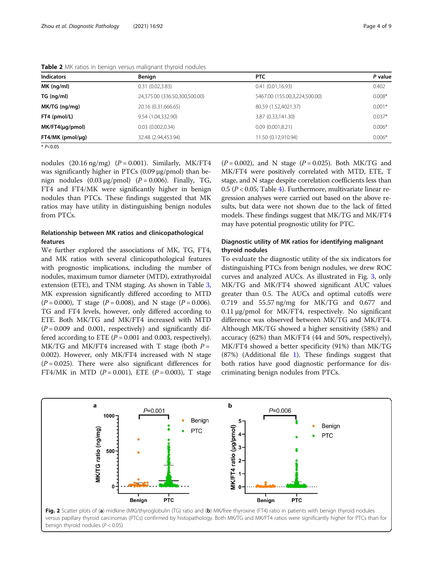| <b>Indicators</b>    | Benign                        | <b>PTC</b>                    | P value  |
|----------------------|-------------------------------|-------------------------------|----------|
| $MK$ (ng/ml)         | 0.31(0.02, 3.83)              | 0.41(0.01,16.93)              | 0.402    |
| TG (nq/ml)           | 24,375.00 (336.50,300,500.00) | 5467.00 (155.00,3,224,500.00) | $0.008*$ |
| MK/TG (ng/mg)        | 20.16 (0.31.666.65)           | 80.59 (1.52,4021.37)          | $0.001*$ |
| FT4 (pmol/L)         | 9.54 (1.04,332.90)            | 3.87 (0.33,141.30)            | $0.037*$ |
| $MK/FT4(\mu q/pmol)$ | 0.03(0.002,0.34)              | 0.09(0.001, 8.21)             | $0.006*$ |
| $FT4/MK$ (pmol/µg)   | 32.48 (2.94,453.94)           | 11.50 (0.12,910.94)           | $0.006*$ |
| $* P < 0.05$         |                               |                               |          |

<span id="page-3-0"></span>Table 2 MK ratios in benign versus malignant thyroid nodules

nodules  $(20.16 \text{ ng/mg})$   $(P = 0.001)$ . Similarly, MK/FT4 was significantly higher in PTCs (0.09 μg/pmol) than benign nodules  $(0.03 \mu g/pmol)$   $(P = 0.006)$ . Finally, TG, FT4 and FT4/MK were significantly higher in benign nodules than PTCs. These findings suggested that MK ratios may have utility in distinguishing benign nodules from PTCs.

# Relationship between MK ratios and clinicopathological features

We further explored the associations of MK, TG, FT4, and MK ratios with several clinicopathological features with prognostic implications, including the number of nodules, maximum tumor diameter (MTD), extrathyroidal extension (ETE), and TNM staging. As shown in Table [3](#page-4-0), MK expression significantly differed according to MTD  $(P = 0.000)$ , T stage  $(P = 0.008)$ , and N stage  $(P = 0.006)$ . TG and FT4 levels, however, only differed according to ETE. Both MK/TG and MK/FT4 increased with MTD  $(P = 0.009$  and 0.001, respectively) and significantly differed according to ETE  $(P = 0.001$  and 0.003, respectively). MK/TG and MK/FT4 increased with T stage (both  $P =$ 0.002). However, only MK/FT4 increased with N stage  $(P = 0.025)$ . There were also significant differences for FT4/MK in MTD ( $P = 0.001$ ), ETE ( $P = 0.003$ ), T stage

 $(P = 0.002)$ , and N stage  $(P = 0.025)$ . Both MK/TG and MK/FT4 were positively correlated with MTD, ETE, T stage, and N stage despite correlation coefficients less than 0.5 ( $P < 0.05$ ; Table [4\)](#page-5-0). Furthermore, multivariate linear regression analyses were carried out based on the above results, but data were not shown due to the lack of fitted models. These findings suggest that MK/TG and MK/FT4 may have potential prognostic utility for PTC.

# Diagnostic utility of MK ratios for identifying malignant thyroid nodules

To evaluate the diagnostic utility of the six indicators for distinguishing PTCs from benign nodules, we drew ROC curves and analyzed AUCs. As illustrated in Fig. [3](#page-5-0), only MK/TG and MK/FT4 showed significant AUC values greater than 0.5. The AUCs and optimal cutoffs were 0.719 and 55.57 ng/mg for MK/TG and 0.677 and 0.11 μg/pmol for MK/FT4, respectively. No significant difference was observed between MK/TG and MK/FT4. Although MK/TG showed a higher sensitivity (58%) and accuracy (62%) than MK/FT4 (44 and 50%, respectively), MK/FT4 showed a better specificity (91%) than MK/TG  $(87%)$  (Additional file [1](#page-7-0)). These findings suggest that both ratios have good diagnostic performance for discriminating benign nodules from PTCs.

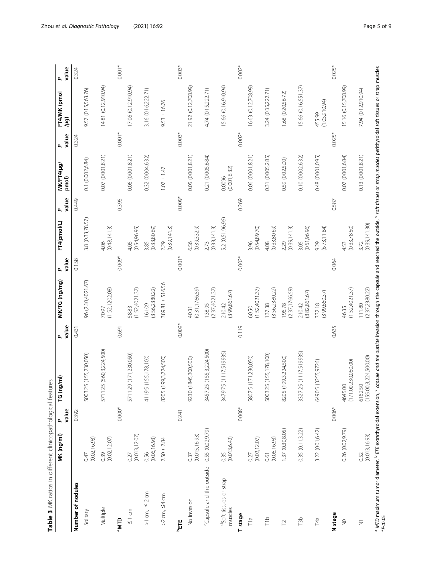<span id="page-4-0"></span>

| (1.52, 1202.08)<br>(1.52,4021.37)<br>(3.56, 2380.22)<br>(0.31, 1766.59)<br>(2.37,4021.37)<br>(1.52,4021.37)<br>(2.37, 1766.59)<br>(3.56, 2380.22)<br>(3.99, 861.67)<br>161.09<br>138.95<br>137.38<br>210.42<br>196.78<br>60.50<br>58.83<br>70.97<br>40.31<br>$0.009*$<br>0.119<br>0.691<br>0.431<br>25 (560,3,224,500)<br>25 (155,3,224,500)<br>3479.75 (1117.519935)<br>25 (155,230,050)<br>29 (171,230,050)<br>25 (155,178,100)<br>5 (155,178,100)<br>(199,3,224,500)<br>5 (171,230,050)<br>(199,3,224,500)<br>(1845,300,500)<br>5003<br>5711.<br>5711<br>4119.<br>8205<br>9230<br>3457<br>5807<br>5003<br>8205<br>$0.008*$<br>$0.000*$<br>0.392<br>0.241<br>0.55 (0.02,9.79)<br>1.37 (0.30,8.05)<br>(0.015, 16.93)<br>(0.013, 12.07)<br>(0.02, 12.07)<br>(0.02, 16.93)<br>0.56<br>(0.06,16.93)<br>(0.013, 6.42)<br>(0.02, 12.07)<br>(0.06, 16.93)<br>$2.50 \pm 2.84$<br>0.39<br>0.61<br>0.35<br>0.47<br>0.27<br>0.37<br>0.27<br>Capsule and the outside<br>d <sub>Soft</sub> tissues or strap<br>Number of nodules<br>$>1$ cm, $\leq$ 2 cm<br>$>2$ cm, $\leq 4$ cm<br>No invasion<br>Multiple<br>muscles<br>$\leq 1$ cm<br>Solitary<br><b>ALIN<sub>e</sub></b><br>T <sub>1</sub> b<br>Tia<br>$\Gamma$ |                  |                   |                        |        | pmol)                   | value    | FT4/MK (pmol<br>(Brl/    | value    |
|----------------------------------------------------------------------------------------------------------------------------------------------------------------------------------------------------------------------------------------------------------------------------------------------------------------------------------------------------------------------------------------------------------------------------------------------------------------------------------------------------------------------------------------------------------------------------------------------------------------------------------------------------------------------------------------------------------------------------------------------------------------------------------------------------------------------------------------------------------------------------------------------------------------------------------------------------------------------------------------------------------------------------------------------------------------------------------------------------------------------------------------------------------------------------------------------------------|------------------|-------------------|------------------------|--------|-------------------------|----------|--------------------------|----------|
|                                                                                                                                                                                                                                                                                                                                                                                                                                                                                                                                                                                                                                                                                                                                                                                                                                                                                                                                                                                                                                                                                                                                                                                                          |                  | 0.158             |                        | 0.449  |                         | 0.324    |                          | 0.324    |
| T stage                                                                                                                                                                                                                                                                                                                                                                                                                                                                                                                                                                                                                                                                                                                                                                                                                                                                                                                                                                                                                                                                                                                                                                                                  |                  | 96 (2.10,4021.67) | 3.8 (0.33,78.57)       |        | 0.1 (0.002,6.84)        |          | 9.57 (0.15,563.76)       |          |
|                                                                                                                                                                                                                                                                                                                                                                                                                                                                                                                                                                                                                                                                                                                                                                                                                                                                                                                                                                                                                                                                                                                                                                                                          |                  |                   | (0.48, 141.3)<br>4.06  |        | 0.07 (0.001,8.21)       |          | 14.81 (0.12,910.94)      |          |
|                                                                                                                                                                                                                                                                                                                                                                                                                                                                                                                                                                                                                                                                                                                                                                                                                                                                                                                                                                                                                                                                                                                                                                                                          |                  | 0.009*            |                        | 0.395  |                         | $0.001*$ |                          | $0.001*$ |
|                                                                                                                                                                                                                                                                                                                                                                                                                                                                                                                                                                                                                                                                                                                                                                                                                                                                                                                                                                                                                                                                                                                                                                                                          |                  |                   | (0.54,96.95)<br>4.05   |        | 0.06 (0.001,8.21)       |          | 17.06 (0.12,910.94)      |          |
|                                                                                                                                                                                                                                                                                                                                                                                                                                                                                                                                                                                                                                                                                                                                                                                                                                                                                                                                                                                                                                                                                                                                                                                                          |                  |                   | (0.33, 80.69)<br>3.85  |        | 0.32 (0.004,6.32)       |          | 3.16 (0.16,222.71)       |          |
|                                                                                                                                                                                                                                                                                                                                                                                                                                                                                                                                                                                                                                                                                                                                                                                                                                                                                                                                                                                                                                                                                                                                                                                                          |                  | 389.81 ± 516.56   | (0.39, 141.3)<br>2.29  |        | $1.07 \pm 1.47$         |          | $9.53 \pm 16.76$         |          |
|                                                                                                                                                                                                                                                                                                                                                                                                                                                                                                                                                                                                                                                                                                                                                                                                                                                                                                                                                                                                                                                                                                                                                                                                          |                  | $0.001*$          |                        | 0.009* |                         | $0.003*$ |                          | $0.003*$ |
|                                                                                                                                                                                                                                                                                                                                                                                                                                                                                                                                                                                                                                                                                                                                                                                                                                                                                                                                                                                                                                                                                                                                                                                                          |                  |                   | (0.39, 332.9)<br>6.56  |        | 0.05 (0.001,8.21)       |          | 21.92 (0.12,708.99)      |          |
|                                                                                                                                                                                                                                                                                                                                                                                                                                                                                                                                                                                                                                                                                                                                                                                                                                                                                                                                                                                                                                                                                                                                                                                                          |                  |                   | (0.33, 141.3)<br>2.73  |        | 0.21 (0.005,6.84)       |          | 4.74 (0.15,222.71)       |          |
|                                                                                                                                                                                                                                                                                                                                                                                                                                                                                                                                                                                                                                                                                                                                                                                                                                                                                                                                                                                                                                                                                                                                                                                                          |                  |                   | 5.2 (0.51,96.96)       |        | (0.001, 6.32)<br>0.0096 |          | 15.66 (0.16,910.94)      |          |
|                                                                                                                                                                                                                                                                                                                                                                                                                                                                                                                                                                                                                                                                                                                                                                                                                                                                                                                                                                                                                                                                                                                                                                                                          |                  | $0.002*$          |                        | 0.269  |                         | $0.002*$ |                          | $0.002*$ |
|                                                                                                                                                                                                                                                                                                                                                                                                                                                                                                                                                                                                                                                                                                                                                                                                                                                                                                                                                                                                                                                                                                                                                                                                          |                  |                   | (0.54, 89.70)<br>3.96  |        | 0.06 (0.001,8.21)       |          | 16.63 (0.12,708.99)      |          |
|                                                                                                                                                                                                                                                                                                                                                                                                                                                                                                                                                                                                                                                                                                                                                                                                                                                                                                                                                                                                                                                                                                                                                                                                          |                  |                   | (0.33, 80.69)<br>4.08  |        | 0.31 (0.005,2.85)       |          | 3.24 (0.35,222.71)       |          |
|                                                                                                                                                                                                                                                                                                                                                                                                                                                                                                                                                                                                                                                                                                                                                                                                                                                                                                                                                                                                                                                                                                                                                                                                          |                  |                   | (0.39, 141.3)<br>2.29  |        | 0.59 (0.02,5.00)        |          | 1.68 (0.20,56.72)        |          |
| (8.82, 861.67)<br>3327<br>0.35(0.11, 3.22)<br>T3b                                                                                                                                                                                                                                                                                                                                                                                                                                                                                                                                                                                                                                                                                                                                                                                                                                                                                                                                                                                                                                                                                                                                                        | 25 (1117.519935) | 210.42            | 3.05<br>(0.51,96.96)   |        | 0.10 (0.002,6.32)       |          | 15.66 (0.16,551.37)      |          |
| (3.99,660.37)<br>332.18<br>5 (3255,9726)<br>6490<br>3.22 (0.01, 6.42)<br>T4a                                                                                                                                                                                                                                                                                                                                                                                                                                                                                                                                                                                                                                                                                                                                                                                                                                                                                                                                                                                                                                                                                                                             |                  |                   | (6.73, 11.84)<br>9.29  |        | 0.48 (0.001,0.95)       |          | (1.05, 910.94)<br>455.99 |          |
| 0.635<br>$0.006*$<br>N stage                                                                                                                                                                                                                                                                                                                                                                                                                                                                                                                                                                                                                                                                                                                                                                                                                                                                                                                                                                                                                                                                                                                                                                             |                  | 0.064             |                        | 0.587  |                         | $0.025*$ |                          | $0.025*$ |
| (1.52,4021.37)<br>46.35<br>(171.00,230,050.00)<br>4645.00<br>0.26 (0.02,9.79)<br>$\gtrapprox$                                                                                                                                                                                                                                                                                                                                                                                                                                                                                                                                                                                                                                                                                                                                                                                                                                                                                                                                                                                                                                                                                                            |                  |                   | (0.33, 78.50)<br>4.53  |        | 0.07 (0.001,6.84)       |          | 5.16 (0.15,708.99)       |          |
| (2.37, 2380.22)<br>111.80<br>(155.00,3,224,500.00)<br>6162.50<br>(0.013, 16.93)<br>0.52<br>$\overline{z}$                                                                                                                                                                                                                                                                                                                                                                                                                                                                                                                                                                                                                                                                                                                                                                                                                                                                                                                                                                                                                                                                                                |                  |                   | (0.39, 141.30)<br>3.72 |        | 0.13(0.001, 8.21)       |          | 7.94 (0.12,910.94)       |          |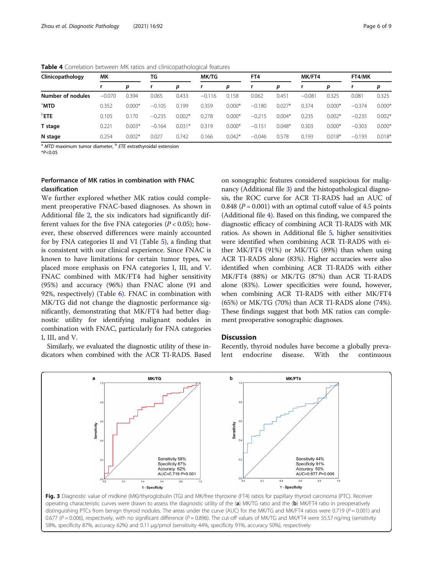| Clinicopathology  | МK       |          | TG       |          | <b>MK/TG</b> |          | FT4      |          | MK/FT4   |          | FT4/MK   |          |
|-------------------|----------|----------|----------|----------|--------------|----------|----------|----------|----------|----------|----------|----------|
|                   |          | р        |          | р        | r            | р        |          | р        |          | p        |          | р        |
| Number of nodules | $-0.070$ | 0.394    | 0.065    | 0.433    | $-0.116$     | 0.158    | 0.062    | 0.451    | $-0.081$ | 0.325    | 0.081    | 0.325    |
| <sup>a</sup> MTD  | 0.352    | $0.000*$ | $-0.105$ | 0.199    | 0.359        | $0.000*$ | $-0.180$ | $0.027*$ | 0.374    | $0.000*$ | $-0.374$ | $0.000*$ |
| <b>PETE</b>       | 0.105    | 0.170    | $-0.235$ | $0.002*$ | 0.278        | $0.000*$ | $-0.215$ | $0.004*$ | 0.235    | $0.002*$ | $-0.235$ | $0.002*$ |
| T stage           | 0.221    | $0.003*$ | $-0.164$ | $0.031*$ | 0.319        | $0.000*$ | $-0.151$ | $0.048*$ | 0.303    | $0.000*$ | $-0.303$ | $0.000*$ |
| N stage           | 0.254    | $0.002*$ | 0.027    | 0.742    | 0.166        | $0.042*$ | $-0.046$ | 0.578    | 0.193    | $0.018*$ | $-0.193$ | $0.018*$ |

<span id="page-5-0"></span>Table 4 Correlation between MK ratios and clinicopathological features

 $a$  MTD maximum tumor diameter,  $b$  ETE extrathyroidal extension

 $*P<0.05$ 

# Performance of MK ratios in combination with FNAC classification

We further explored whether MK ratios could complement preoperative FNAC-based diagnoses. As shown in Additional file [2](#page-7-0), the six indicators had significantly different values for the five FNA categories ( $P < 0.05$ ); however, these observed differences were mainly accounted for by FNA categories II and VI (Table [5](#page-6-0)), a finding that is consistent with our clinical experience. Since FNAC is known to have limitations for certain tumor types, we placed more emphasis on FNA categories I, III, and V. FNAC combined with MK/FT4 had higher sensitivity (95%) and accuracy (96%) than FNAC alone (91 and 92%, respectively) (Table [6\)](#page-6-0). FNAC in combination with MK/TG did not change the diagnostic performance significantly, demonstrating that MK/FT4 had better diagnostic utility for identifying malignant nodules in combination with FNAC, particularly for FNA categories I, III, and V.

Similarly, we evaluated the diagnostic utility of these indicators when combined with the ACR TI-RADS. Based

on sonographic features considered suspicious for malignancy (Additional file [3\)](#page-7-0) and the histopathological diagnosis, the ROC curve for ACR TI-RADS had an AUC of 0.848 ( $P = 0.001$ ) with an optimal cutoff value of 4.5 points (Additional file [4](#page-7-0)). Based on this finding, we compared the diagnostic efficacy of combining ACR TI-RADS with MK ratios. As shown in Additional file [5](#page-7-0), higher sensitivities were identified when combining ACR TI-RADS with either MK/FT4 (91%) or MK/TG (89%) than when using ACR TI-RADS alone (83%). Higher accuracies were also identified when combining ACR TI-RADS with either MK/FT4 (88%) or MK/TG (87%) than ACR TI-RADS alone (83%). Lower specificities were found, however, when combining ACR TI-RADS with either MK/FT4 (65%) or MK/TG (70%) than ACR TI-RADS alone (74%). These findings suggest that both MK ratios can complement preoperative sonographic diagnoses.

# **Discussion**

Recently, thyroid nodules have become a globally prevalent endocrine disease. With the continuous



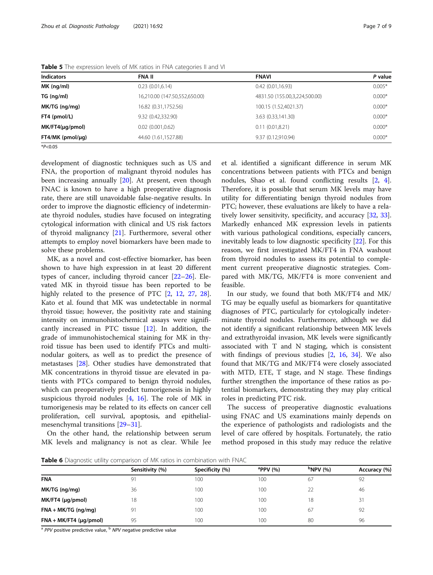| <b>Indicators</b>    | <b>FNA II</b>                 | <b>FNAVI</b>                  | P value  |
|----------------------|-------------------------------|-------------------------------|----------|
| MK (nq/ml)           | 0.23(0.01,6.14)               | 0.42(0.01,16.93)              | $0.005*$ |
| TG (ng/ml)           | 16,210.00 (147.50,552,650.00) | 4831.50 (155.00,3,224,500.00) | $0.000*$ |
| MK/TG (ng/mg)        | 16.82 (0.31,1752.56)          | 100.15 (1.52,4021.37)         | $0.000*$ |
| FT4 (pmol/L)         | 9.32 (0.42,332.90)            | 3.63 (0.33,141.30)            | $0.000*$ |
| $MK/FT4(\mu q/pmol)$ | $0.02$ $(0.001, 0.62)$        | 0.11(0.01, 8.21)              | $0.000*$ |
| $FT4/MK$ (pmol/µg)   | 44.60 (1.61,1527.88)          | 9.37 (0.12,910.94)            | $0.000*$ |
| $*P<0.05$            |                               |                               |          |

<span id="page-6-0"></span>Table 5 The expression levels of MK ratios in FNA categories II and VI

development of diagnostic techniques such as US and FNA, the proportion of malignant thyroid nodules has been increasing annually [\[20\]](#page-8-0). At present, even though FNAC is known to have a high preoperative diagnosis rate, there are still unavoidable false-negative results. In order to improve the diagnostic efficiency of indeterminate thyroid nodules, studies have focused on integrating cytological information with clinical and US risk factors of thyroid malignancy [[21\]](#page-8-0). Furthermore, several other attempts to employ novel biomarkers have been made to solve these problems.

MK, as a novel and cost-effective biomarker, has been shown to have high expression in at least 20 different types of cancer, including thyroid cancer [\[22](#page-8-0)–[26\]](#page-8-0). Elevated MK in thyroid tissue has been reported to be highly related to the presence of PTC  $[2, 12, 27, 28]$  $[2, 12, 27, 28]$  $[2, 12, 27, 28]$  $[2, 12, 27, 28]$  $[2, 12, 27, 28]$  $[2, 12, 27, 28]$  $[2, 12, 27, 28]$  $[2, 12, 27, 28]$  $[2, 12, 27, 28]$ . Kato et al. found that MK was undetectable in normal thyroid tissue; however, the positivity rate and staining intensity on immunohistochemical assays were significantly increased in PTC tissue [[12\]](#page-8-0). In addition, the grade of immunohistochemical staining for MK in thyroid tissue has been used to identify PTCs and multinodular goiters, as well as to predict the presence of metastases [\[28\]](#page-8-0). Other studies have demonstrated that MK concentrations in thyroid tissue are elevated in patients with PTCs compared to benign thyroid nodules, which can preoperatively predict tumorigenesis in highly suspicious thyroid nodules [[4,](#page-7-0) [16](#page-8-0)]. The role of MK in tumorigenesis may be related to its effects on cancer cell proliferation, cell survival, apoptosis, and epithelialmesenchymal transitions [\[29](#page-8-0)–[31\]](#page-8-0).

On the other hand, the relationship between serum MK levels and malignancy is not as clear. While Jee et al. identified a significant difference in serum MK concentrations between patients with PTCs and benign nodules, Shao et al. found conflicting results [\[2](#page-7-0), [4](#page-7-0)]. Therefore, it is possible that serum MK levels may have utility for differentiating benign thyroid nodules from PTC; however, these evaluations are likely to have a relatively lower sensitivity, specificity, and accuracy [\[32,](#page-8-0) [33](#page-8-0)]. Markedly enhanced MK expression levels in patients with various pathological conditions, especially cancers, inevitably leads to low diagnostic specificity [[22\]](#page-8-0). For this reason, we first investigated MK/FT4 in FNA washout from thyroid nodules to assess its potential to complement current preoperative diagnostic strategies. Compared with MK/TG, MK/FT4 is more convenient and feasible.

In our study, we found that both MK/FT4 and MK/ TG may be equally useful as biomarkers for quantitative diagnoses of PTC, particularly for cytologically indeterminate thyroid nodules. Furthermore, although we did not identify a significant relationship between MK levels and extrathyroidal invasion, MK levels were significantly associated with T and N staging, which is consistent with findings of previous studies [\[2](#page-7-0), [16](#page-8-0), [34](#page-8-0)]. We also found that MK/TG and MK/FT4 were closely associated with MTD, ETE, T stage, and N stage. These findings further strengthen the importance of these ratios as potential biomarkers, demonstrating they may play critical roles in predicting PTC risk.

The success of preoperative diagnostic evaluations using FNAC and US examinations mainly depends on the experience of pathologists and radiologists and the level of care offered by hospitals. Fortunately, the ratio method proposed in this study may reduce the relative

Table 6 Diagnostic utility comparison of MK ratios in combination with FNAC

|                          | Sensitivity (%) | Specificity (%) | PPV(%) | $P$ NPV $(%)$ | Accuracy (%) |  |  |  |
|--------------------------|-----------------|-----------------|--------|---------------|--------------|--|--|--|
| <b>FNA</b>               | 91              | 100             | 100    | 67            | 92           |  |  |  |
| MK/TG (ng/mg)            | 36              | 100             | 100    | 22            | 46           |  |  |  |
| MK/FT4 (µg/pmol)         | 18              | 100             | 100    | 18            | 31           |  |  |  |
| $FNA + MK/TG$ (ng/mg)    | 91              | 100             | 100    | 67            | 92           |  |  |  |
| $FNA + MK/FT4 (µg/pmol)$ | 95              | 100             | 100    | 80            | 96           |  |  |  |

<sup>a</sup> PPV positive predictive value, <sup>b</sup> NPV negative predictive value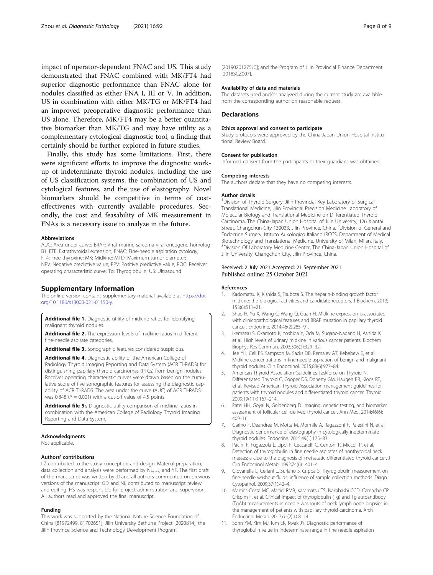<span id="page-7-0"></span>impact of operator-dependent FNAC and US. This study demonstrated that FNAC combined with MK/FT4 had superior diagnostic performance than FNAC alone for nodules classified as either FNA I, III or V. In addition, US in combination with either MK/TG or MK/FT4 had an improved preoperative diagnostic performance than US alone. Therefore, MK/FT4 may be a better quantitative biomarker than MK/TG and may have utility as a complementary cytological diagnostic tool, a finding that certainly should be further explored in future studies.

Finally, this study has some limitations. First, there were significant efforts to improve the diagnostic workup of indeterminate thyroid nodules, including the use of US classification systems, the combination of US and cytological features, and the use of elastography. Novel biomarkers should be competitive in terms of costeffectivenes with currently available procedures. Secondly, the cost and feasability of MK measurement in FNAs is a necessary issue to analyze in the future.

#### Abbreviations

AUC: Area under curve; BRAF: V-raf murine sarcoma viral oncogene homolog B1; ETE: Extrathyroidal extension; FNAC: Fine-needle aspiration cytology; FT4: Free thyroxine; MK: Midkine; MTD: Maximum tumor diameter; NPV: Negative predictive value; PPV: Positive predictive value; ROC: Receiver operating characteristic curve; Tg: Thyroglobulin; US: Ultrasound

## Supplementary Information

The online version contains supplementary material available at [https://doi.](https://doi.org/10.1186/s13000-021-01150-y) [org/10.1186/s13000-021-01150-y](https://doi.org/10.1186/s13000-021-01150-y).

Additional file 1. Diagnostic utility of midkine ratios for identifying malignant thyroid nodules.

Additional file 2. The expression levels of midkine ratios in different fine-needle aspirate categories.

Additional file 3. Sonographic features considered suspicious.

Additional file 4. Diagnostic ability of the American College of Radiology Thyroid Imaging Reporting and Data System (ACR TI-RADS) for distinguishing papillary thyroid carcinomas (PTCs) from benign nodules. Receiver operating characteristic curves were drawn based on the cumulative score of five sonographic features for assessing the diagnostic capability of ACR TI-RADS. The area under the curve (AUC) of ACR TI-RADS was 0.848 ( $P = 0.001$ ) with a cut-off value of 4.5 points.

Additional file 5:. Diagnostic utility comparison of midkine ratios in combination with the American College of Radiology Thyroid Imaging Reporting and Data System.

#### Acknowledgments

Not applicable.

#### Authors' contributions

LZ contributed to the study conception and design. Material preparation, data collection and analysis were performed by NL, JJ, and YF. The first draft of the manuscript was written by JJ and all authors commented on previous versions of the manuscript. GD and NL contributed to manuscript review and editing. HS was responsible for project administration and supervision. All authors read and approved the final manuscript.

#### Funding

This work was supported by the National Nature Science Foundation of China [81972499, 81702651]; Jilin University Bethune Project [2020B14]; the Jilin Province Science and Technology Development Program

[20190201275JC]; and the Program of Jilin Provincial Finance Department [2018SCZ007].

## Availability of data and materials

The datasets used and/or analyzed during the current study are available from the corresponding author on reasonable request.

# **Declarations**

#### Ethics approval and consent to participate

Study protocols were approved by the China-Japan Union Hospital Institutional Review Board.

#### Consent for publication

Informed consent from the participants or their guardians was obtained.

#### Competing interests

The authors declare that they have no competing interests.

#### Author details

<sup>1</sup> Division of Thyroid Surgery, Jilin Provincial Key Laboratory of Surgical Translational Medicine, Jilin Provincial Precision Medicine Laboratory of Molecular Biology and Translational Medicine on Differentiated Thyroid Carcinoma, The China-Japan Union Hospital of Jilin University, 126 Xiantai Street, Changchun City 130033, Jilin Province, China. <sup>2</sup>Division of General and Endocrine Surgery, Istituto Auxologico Italiano IRCCS, Department of Medical Biotechnology and Translational Medicine, University of Milan, Milan, Italy. <sup>3</sup> Division Of Laboratory Medicine Center, The China-Japan Union Hospital of Jilin University, Changchun City, Jilin Province, China.

# Received: 2 July 2021 Accepted: 21 September 2021 Published online: 25 October 2021

#### References

- 1. Kadomatsu K, Kishida S, Tsubota S. The heparin-binding growth factor midkine: the biological activities and candidate receptors. J Biochem. 2013; 153(6):511–21.
- 2. Shao H, Yu X, Wang C, Wang Q, Guan H. Midkine expression is associated with clinicopathological features and BRAF mutation in papillary thyroid cancer. Endocrine. 2014;46(2):285–91.
- Ikematsu S, Okamoto K, Yoshida Y, Oda M, Sugano-Nagano H, Ashida K, et al. High levels of urinary midkine in various cancer patients. Biochem Biophys Res Commun. 2003;306(2):329–32.
- 4. Jee YH, Celi FS, Sampson M, Sacks DB, Remaley AT, Kebebew E, et al. Midkine concentrations in fine-needle aspiration of benign and malignant thyroid nodules. Clin Endocrinol. 2015;83(6):977–84.
- 5. American Thyroid Association Guidelines Taskforce on Thyroid N, Differentiated Thyroid C, Cooper DS, Doherty GM, Haugen BR, Kloos RT, et al. Revised American Thyroid Association management guidelines for patients with thyroid nodules and differentiated thyroid cancer. Thyroid. 2009;19(11):1167–214.
- 6. Patel HH, Goyal N, Goldenberg D. Imaging, genetic testing, and biomarker assessment of follicular cell-derived thyroid cancer. Ann Med. 2014;46(6): 409–16.
- 7. Garino F, Deandrea M, Motta M, Mormile A, Ragazzoni F, Palestini N, et al. Diagnostic performance of elastography in cytologically indeterminate thyroid nodules. Endocrine. 2015;49(1):175–83.
- 8. Pacini F, Fugazzola L, Lippi F, Ceccarelli C, Centoni R, Miccoli P, et al. Detection of thyroglobulin in fine needle aspirates of nonthyroidal neck masses: a clue to the diagnosis of metastatic differentiated thyroid cancer. J Clin Endocrinol Metab. 1992;74(6):1401–4.
- 9. Giovanella L, Ceriani L, Suriano S, Crippa S. Thyroglobulin measurement on fine-needle washout fluids: influence of sample collection methods. Diagn Cytopathol. 2009;37(1):42–4.
- 10. Martins-Costa MC, Maciel RMB, Kasamatsu TS, Nakabashi CCD, Camacho CP, Crispim F, et al. Clinical impact of thyroglobulin (Tg) and Tg autoantibody (TgAb) measurements in needle washouts of neck lymph node biopsies in the management of patients with papillary thyroid carcinoma. Arch Endocrinol Metab. 2017;61(2):108–14.
- 11. Sohn YM, Kim MJ, Kim EK, Kwak JY. Diagnostic performance of thyroglobulin value in indeterminate range in fine needle aspiration